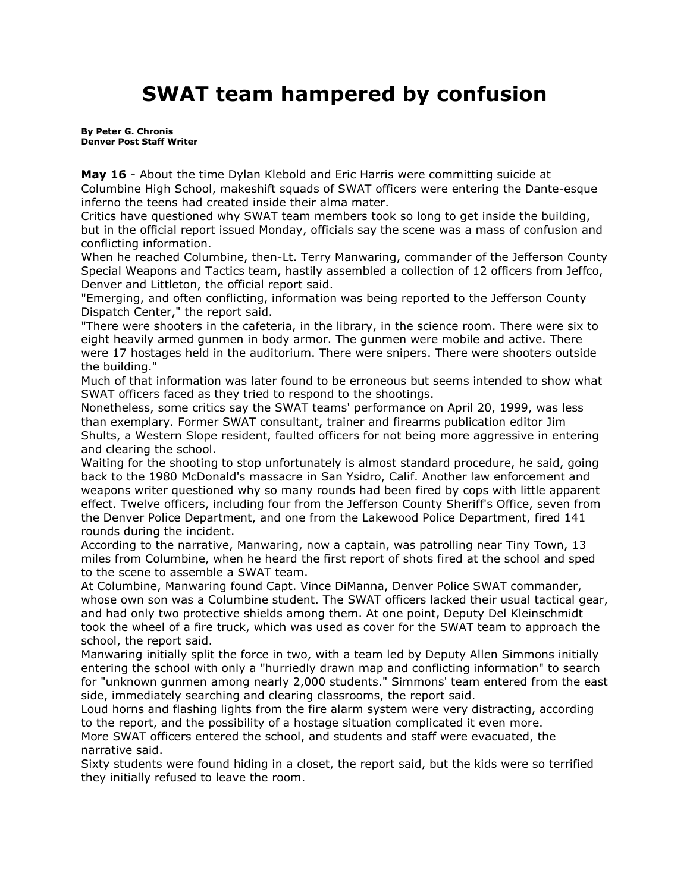## **SWAT team hampered by confusion**

**By Peter G. Chronis Denver Post Staff Writer**

**May 16** - About the time Dylan Klebold and Eric Harris were committing suicide at Columbine High School, makeshift squads of SWAT officers were entering the Dante-esque inferno the teens had created inside their alma mater.

Critics have questioned why SWAT team members took so long to get inside the building, but in the official report issued Monday, officials say the scene was a mass of confusion and conflicting information.

When he reached Columbine, then-Lt. Terry Manwaring, commander of the Jefferson County Special Weapons and Tactics team, hastily assembled a collection of 12 officers from Jeffco, Denver and Littleton, the official report said.

"Emerging, and often conflicting, information was being reported to the Jefferson County Dispatch Center," the report said.

"There were shooters in the cafeteria, in the library, in the science room. There were six to eight heavily armed gunmen in body armor. The gunmen were mobile and active. There were 17 hostages held in the auditorium. There were snipers. There were shooters outside the building."

Much of that information was later found to be erroneous but seems intended to show what SWAT officers faced as they tried to respond to the shootings.

Nonetheless, some critics say the SWAT teams' performance on April 20, 1999, was less than exemplary. Former SWAT consultant, trainer and firearms publication editor Jim Shults, a Western Slope resident, faulted officers for not being more aggressive in entering and clearing the school.

Waiting for the shooting to stop unfortunately is almost standard procedure, he said, going back to the 1980 McDonald's massacre in San Ysidro, Calif. Another law enforcement and weapons writer questioned why so many rounds had been fired by cops with little apparent effect. Twelve officers, including four from the Jefferson County Sheriff's Office, seven from the Denver Police Department, and one from the Lakewood Police Department, fired 141 rounds during the incident.

According to the narrative, Manwaring, now a captain, was patrolling near Tiny Town, 13 miles from Columbine, when he heard the first report of shots fired at the school and sped to the scene to assemble a SWAT team.

At Columbine, Manwaring found Capt. Vince DiManna, Denver Police SWAT commander, whose own son was a Columbine student. The SWAT officers lacked their usual tactical gear, and had only two protective shields among them. At one point, Deputy Del Kleinschmidt took the wheel of a fire truck, which was used as cover for the SWAT team to approach the school, the report said.

Manwaring initially split the force in two, with a team led by Deputy Allen Simmons initially entering the school with only a "hurriedly drawn map and conflicting information" to search for "unknown gunmen among nearly 2,000 students." Simmons' team entered from the east side, immediately searching and clearing classrooms, the report said.

Loud horns and flashing lights from the fire alarm system were very distracting, according to the report, and the possibility of a hostage situation complicated it even more.

More SWAT officers entered the school, and students and staff were evacuated, the narrative said.

Sixty students were found hiding in a closet, the report said, but the kids were so terrified they initially refused to leave the room.